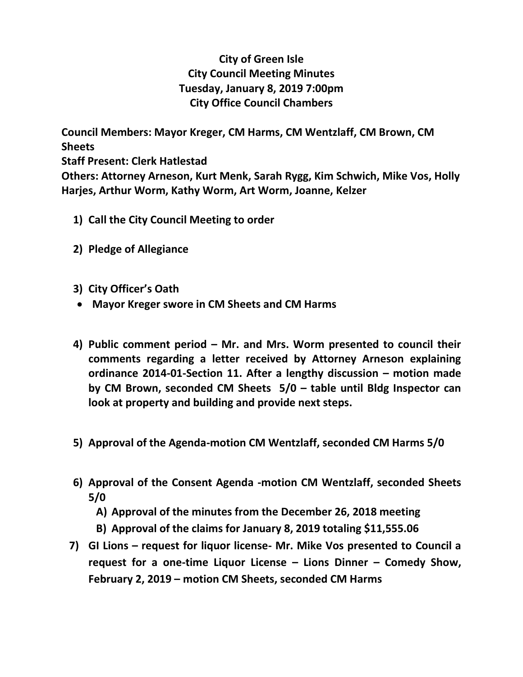## **City of Green Isle City Council Meeting Minutes Tuesday, January 8, 2019 7:00pm City Office Council Chambers**

**Council Members: Mayor Kreger, CM Harms, CM Wentzlaff, CM Brown, CM Sheets Staff Present: Clerk Hatlestad Others: Attorney Arneson, Kurt Menk, Sarah Rygg, Kim Schwich, Mike Vos, Holly Harjes, Arthur Worm, Kathy Worm, Art Worm, Joanne, Kelzer**

- **1) Call the City Council Meeting to order**
- **2) Pledge of Allegiance**
- **3) City Officer's Oath**
- **Mayor Kreger swore in CM Sheets and CM Harms**
- **4) Public comment period – Mr. and Mrs. Worm presented to council their comments regarding a letter received by Attorney Arneson explaining ordinance 2014-01-Section 11. After a lengthy discussion – motion made by CM Brown, seconded CM Sheets 5/0 – table until Bldg Inspector can look at property and building and provide next steps.**
- **5) Approval of the Agenda-motion CM Wentzlaff, seconded CM Harms 5/0**
- **6) Approval of the Consent Agenda -motion CM Wentzlaff, seconded Sheets 5/0**
	- **A) Approval of the minutes from the December 26, 2018 meeting**
	- **B) Approval of the claims for January 8, 2019 totaling \$11,555.06**
- **7) GI Lions – request for liquor license- Mr. Mike Vos presented to Council a request for a one-time Liquor License – Lions Dinner – Comedy Show, February 2, 2019 – motion CM Sheets, seconded CM Harms**